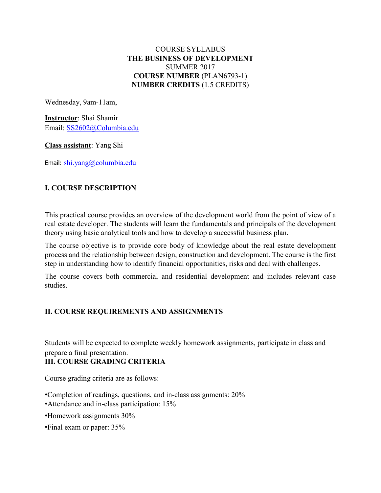## COURSE SYLLABUS **THE BUSINESS OF DEVELOPMENT** SUMMER 2017 **COURSE NUMBER** (PLAN6793-1) **NUMBER CREDITS** (1.5 CREDITS)

Wednesday, 9am-11am,

**Instructor**: Shai Shamir Email: [SS2602@Columbia.edu](mailto:SS2602@Columbia.edu)

**Class assistant**: Yang Shi

Email: [shi.yang@columbia.edu](mailto:shi.yang@columbia.edu)

# **I. COURSE DESCRIPTION**

This practical course provides an overview of the development world from the point of view of a real estate developer. The students will learn the fundamentals and principals of the development theory using basic analytical tools and how to develop a successful business plan.

The course objective is to provide core body of knowledge about the real estate development process and the relationship between design, construction and development. The course is the first step in understanding how to identify financial opportunities, risks and deal with challenges.

The course covers both commercial and residential development and includes relevant case studies.

# **II. COURSE REQUIREMENTS AND ASSIGNMENTS**

Students will be expected to complete weekly homework assignments, participate in class and prepare a final presentation.

# **III. COURSE GRADING CRITERIA**

Course grading criteria are as follows:

- •Completion of readings, questions, and in-class assignments: 20%
- •Attendance and in-class participation: 15%
- •Homework assignments 30%
- •Final exam or paper: 35%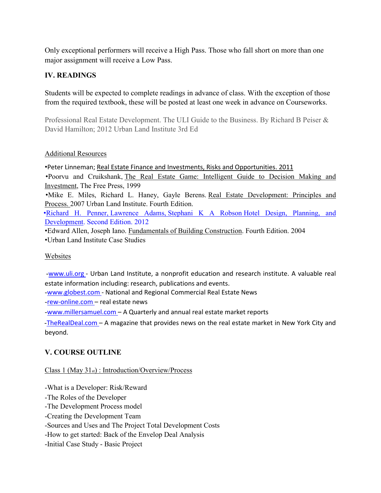Only exceptional performers will receive a High Pass. Those who fall short on more than one major assignment will receive a Low Pass.

### **IV. READINGS**

Students will be expected to complete readings in advance of class. With the exception of those from the required textbook, these will be posted at least one week in advance on Courseworks.

Professional Real Estate Development. The ULI Guide to the Business. By Richard B Peiser & David Hamilton; 2012 Urban Land Institute 3rd Ed

### Additional Resources

•Peter Linneman; Real Estate Finance and Investments, Risks and Opportunities. 2011 •Poorvu and Cruikshank, The Real Estate Game: Intelligent Guide to Decision Making and Investment, The Free Press, 1999 •Mike E. Miles, Richard L. Haney, Gayle Berens. Real Estate Development: Principles and Process. 2007 Urban Land Institute. Fourth Edition. •[Richard H. Penner,](http://www.amazon.com/Richard-H.-Penner/e/B001IGSK1Q/ref=dp_byline_cont_book_1) [Lawrence Adams,](http://www.amazon.com/s/ref=dp_byline_sr_book_2?ie=UTF8&field-author=Lawrence+Adams&search-alias=books&text=Lawrence+Adams&sort=relevancerank) [Stephani K A Robson](http://www.amazon.com/s/ref=dp_byline_sr_book_3?ie=UTF8&field-author=Stephani+K+A+Robson&search-alias=books&text=Stephani+K+A+Robson&sort=relevancerank) Hotel Design, Planning, and Development. Second Edition. 2012 •Edward Allen, Joseph Iano. Fundamentals of Building Construction. Fourth Edition. 2004 •Urban Land Institute Case Studies

### Websites

 -[www.uli.org](http://www.uli.org/) - Urban Land Institute, a nonprofit education and research institute. A valuable real estate information including: research, publications and events.

-[www.globest.com](http://www.globest.com/) - National and Regional Commercial Real Estate News

-rew-online.com – real estate news

-[www.millersamuel.com](http://www.millersamuel.com/) – A Quarterly and annual real estate market reports

 -TheRealDeal.com – A magazine that provides news on the real estate market in New York City and beyond.

# **V. COURSE OUTLINE**

Class 1 (May 31st) : Introduction/Overview/Process

-What is a Developer: Risk/Reward -The Roles of the Developer -The Development Process model -Creating the Development Team -Sources and Uses and The Project Total Development Costs -How to get started: Back of the Envelop Deal Analysis -Initial Case Study - Basic Project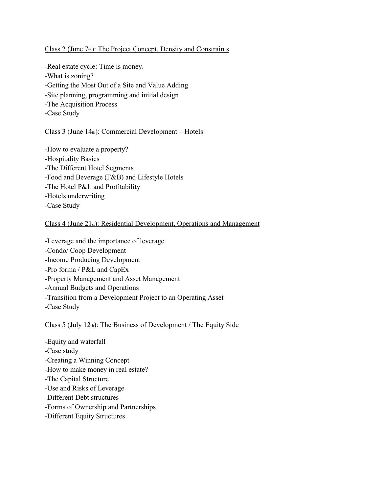### Class 2 (June 7th): The Project Concept, Density and Constraints

-Real estate cycle: Time is money. -What is zoning? -Getting the Most Out of a Site and Value Adding -Site planning, programming and initial design -The Acquisition Process -Case Study

### $Class 3 (June 14<sub>th</sub>): Commercial Development – Hotels$

-How to evaluate a property? -Hospitality Basics -The Different Hotel Segments -Food and Beverage (F&B) and Lifestyle Hotels -The Hotel P&L and Profitability -Hotels underwriting -Case Study

### Class 4 (June 21st): Residential Development, Operations and Management

-Leverage and the importance of leverage -Condo/ Coop Development -Income Producing Development -Pro forma / P&L and CapEx -Property Management and Asset Management -Annual Budgets and Operations -Transition from a Development Project to an Operating Asset -Case Study

### Class 5 (July  $12<sub>th</sub>$ ): The Business of Development / The Equity Side

-Equity and waterfall -Case study -Creating a Winning Concept -How to make money in real estate? -The Capital Structure -Use and Risks of Leverage -Different Debt structures -Forms of Ownership and Partnerships -Different Equity Structures